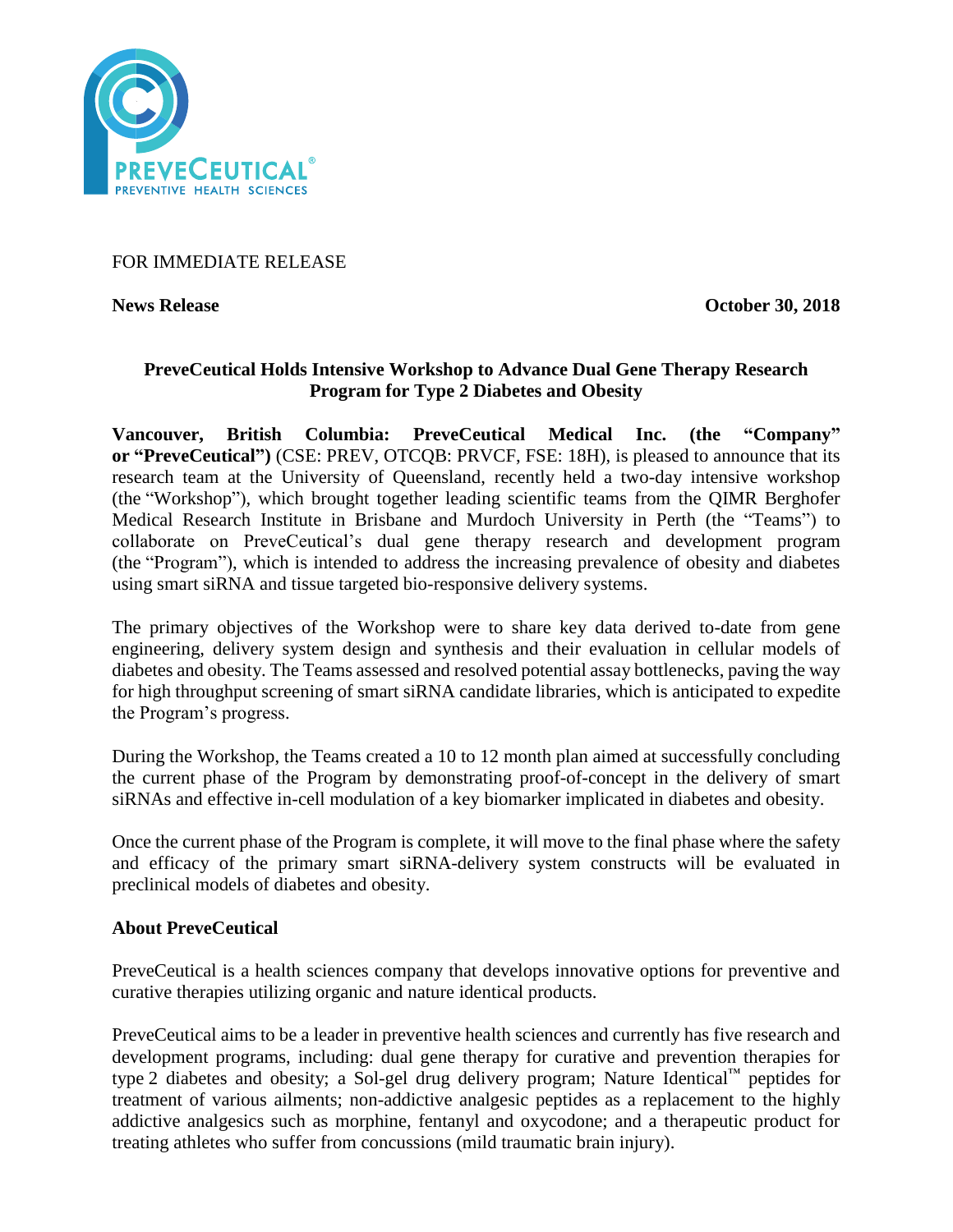

## FOR IMMEDIATE RELEASE

**News Release October 30, 2018** 

# **PreveCeutical Holds Intensive Workshop to Advance Dual Gene Therapy Research Program for Type 2 Diabetes and Obesity**

**Vancouver, British Columbia: PreveCeutical Medical Inc. (the "Company" or "PreveCeutical")** (CSE: PREV, OTCQB: PRVCF, FSE: 18H), is pleased to announce that its research team at the University of Queensland, recently held a two-day intensive workshop (the "Workshop"), which brought together leading scientific teams from the QIMR Berghofer Medical Research Institute in Brisbane and Murdoch University in Perth (the "Teams") to collaborate on PreveCeutical's dual gene therapy research and development program (the "Program"), which is intended to address the increasing prevalence of obesity and diabetes using smart siRNA and tissue targeted bio-responsive delivery systems.

The primary objectives of the Workshop were to share key data derived to-date from gene engineering, delivery system design and synthesis and their evaluation in cellular models of diabetes and obesity. The Teams assessed and resolved potential assay bottlenecks, paving the way for high throughput screening of smart siRNA candidate libraries, which is anticipated to expedite the Program's progress.

During the Workshop, the Teams created a 10 to 12 month plan aimed at successfully concluding the current phase of the Program by demonstrating proof-of-concept in the delivery of smart siRNAs and effective in-cell modulation of a key biomarker implicated in diabetes and obesity.

Once the current phase of the Program is complete, it will move to the final phase where the safety and efficacy of the primary smart siRNA-delivery system constructs will be evaluated in preclinical models of diabetes and obesity.

### **About PreveCeutical**

PreveCeutical is a health sciences company that develops innovative options for preventive and curative therapies utilizing organic and nature identical products.

PreveCeutical aims to be a leader in preventive health sciences and currently has five research and development programs, including: dual gene therapy for curative and prevention therapies for type 2 diabetes and obesity; a Sol-gel drug delivery program; Nature Identical™ peptides for treatment of various ailments; non-addictive analgesic peptides as a replacement to the highly addictive analgesics such as morphine, fentanyl and oxycodone; and a therapeutic product for treating athletes who suffer from concussions (mild traumatic brain injury).